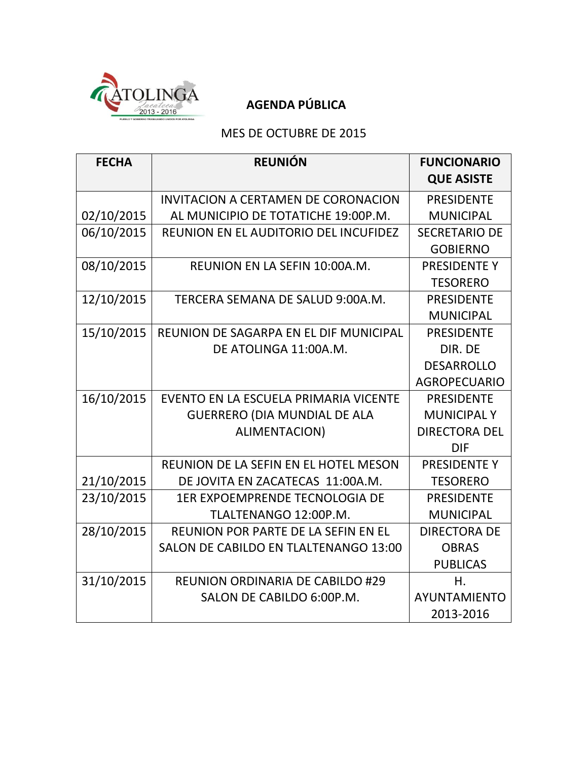

## **AGENDA PÚBLICA**

#### MES DE OCTUBRE DE 2015

| <b>FECHA</b> | <b>REUNIÓN</b>                             | <b>FUNCIONARIO</b><br><b>QUE ASISTE</b> |
|--------------|--------------------------------------------|-----------------------------------------|
|              | <b>INVITACION A CERTAMEN DE CORONACION</b> | <b>PRESIDENTE</b>                       |
| 02/10/2015   | AL MUNICIPIO DE TOTATICHE 19:00P.M.        | <b>MUNICIPAL</b>                        |
| 06/10/2015   | REUNION EN EL AUDITORIO DEL INCUFIDEZ      | <b>SECRETARIO DE</b>                    |
|              |                                            | <b>GOBIERNO</b>                         |
| 08/10/2015   | REUNION EN LA SEFIN 10:00A.M.              | PRESIDENTE Y                            |
|              |                                            | <b>TESORERO</b>                         |
| 12/10/2015   | TERCERA SEMANA DE SALUD 9:00A.M.           | <b>PRESIDENTE</b>                       |
|              |                                            | <b>MUNICIPAL</b>                        |
| 15/10/2015   | REUNION DE SAGARPA EN EL DIF MUNICIPAL     | <b>PRESIDENTE</b>                       |
|              | DE ATOLINGA 11:00A.M.                      | DIR. DE                                 |
|              |                                            | <b>DESARROLLO</b>                       |
|              |                                            | <b>AGROPECUARIO</b>                     |
| 16/10/2015   | EVENTO EN LA ESCUELA PRIMARIA VICENTE      | <b>PRESIDENTE</b>                       |
|              | <b>GUERRERO (DIA MUNDIAL DE ALA</b>        | <b>MUNICIPALY</b>                       |
|              | <b>ALIMENTACION)</b>                       | <b>DIRECTORA DEL</b>                    |
|              |                                            | <b>DIF</b>                              |
|              | REUNION DE LA SEFIN EN EL HOTEL MESON      | <b>PRESIDENTE Y</b>                     |
| 21/10/2015   | DE JOVITA EN ZACATECAS 11:00A.M.           | <b>TESORERO</b>                         |
| 23/10/2015   | <b>1ER EXPOEMPRENDE TECNOLOGIA DE</b>      | <b>PRESIDENTE</b>                       |
|              | TLALTENANGO 12:00P.M.                      | <b>MUNICIPAL</b>                        |
| 28/10/2015   | REUNION POR PARTE DE LA SEFIN EN EL        | <b>DIRECTORA DE</b>                     |
|              | SALON DE CABILDO EN TLALTENANGO 13:00      | <b>OBRAS</b>                            |
|              |                                            | <b>PUBLICAS</b>                         |
| 31/10/2015   | <b>REUNION ORDINARIA DE CABILDO #29</b>    | Η.                                      |
|              | SALON DE CABILDO 6:00P.M.                  | <b>AYUNTAMIENTO</b>                     |
|              |                                            | 2013-2016                               |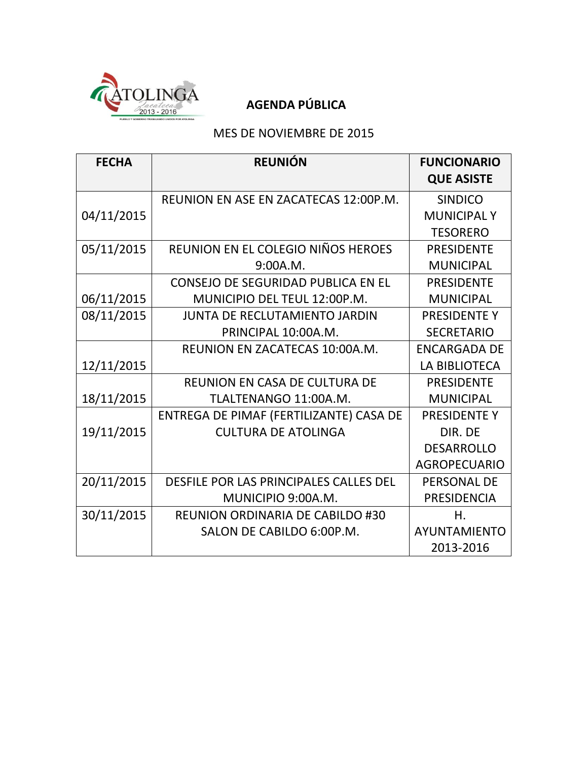

## **AGENDA PÚBLICA**

#### MES DE NOVIEMBRE DE 2015

| <b>FECHA</b> | <b>REUNIÓN</b>                          | <b>FUNCIONARIO</b><br><b>QUE ASISTE</b> |
|--------------|-----------------------------------------|-----------------------------------------|
|              | REUNION EN ASE EN ZACATECAS 12:00P.M.   | <b>SINDICO</b>                          |
| 04/11/2015   |                                         | <b>MUNICIPALY</b>                       |
|              |                                         | <b>TESORERO</b>                         |
| 05/11/2015   | REUNION EN EL COLEGIO NIÑOS HEROES      | <b>PRESIDENTE</b>                       |
|              | 9:00A.M.                                | <b>MUNICIPAL</b>                        |
|              | CONSEJO DE SEGURIDAD PUBLICA EN EL      | <b>PRESIDENTE</b>                       |
| 06/11/2015   | MUNICIPIO DEL TEUL 12:00P.M.            | <b>MUNICIPAL</b>                        |
| 08/11/2015   | JUNTA DE RECLUTAMIENTO JARDIN           | PRESIDENTE Y                            |
|              | PRINCIPAL 10:00A.M.                     | <b>SECRETARIO</b>                       |
|              | REUNION EN ZACATECAS 10:00A.M.          | <b>ENCARGADA DE</b>                     |
| 12/11/2015   |                                         | LA BIBLIOTECA                           |
|              | <b>REUNION EN CASA DE CULTURA DE</b>    | <b>PRESIDENTE</b>                       |
| 18/11/2015   | TLALTENANGO 11:00A.M.                   | <b>MUNICIPAL</b>                        |
|              | ENTREGA DE PIMAF (FERTILIZANTE) CASA DE | <b>PRESIDENTE Y</b>                     |
| 19/11/2015   | <b>CULTURA DE ATOLINGA</b>              | DIR. DE                                 |
|              |                                         | <b>DESARROLLO</b>                       |
|              |                                         | <b>AGROPECUARIO</b>                     |
| 20/11/2015   | DESFILE POR LAS PRINCIPALES CALLES DEL  | <b>PERSONAL DE</b>                      |
|              | MUNICIPIO 9:00A.M.                      | <b>PRESIDENCIA</b>                      |
| 30/11/2015   | <b>REUNION ORDINARIA DE CABILDO #30</b> | Η.                                      |
|              | SALON DE CABILDO 6:00P.M.               | AYUNTAMIENTO                            |
|              |                                         | 2013-2016                               |